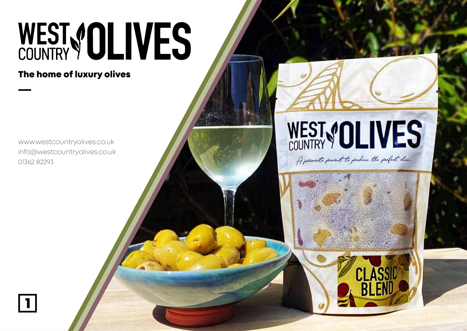# WEST VOLIVES

The home of luxury olives

www.westcountryolives.co.uk info@westcountryolives.co.uk 01362 82293

 $\boxed{1}$ 



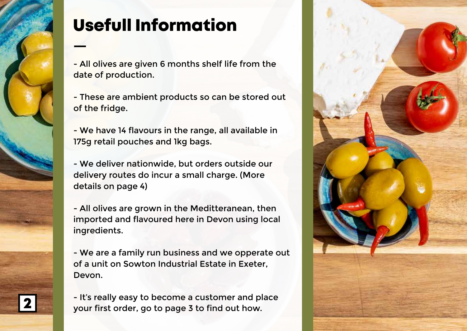

## Usefull Information

- All olives are given 6 months shelf life from the date of production.
- These are ambient products so can be stored out of the fridge.
- We have 14 flavours in the range, all available in 175g retail pouches and 1kg bags.
- We deliver nationwide, but orders outside our delivery routes do incur a small charge. (More details on page 4)
- All olives are grown in the Meditteranean, then imported and flavoured here in Devon using local ingredients.
- We are a family run business and we opperate out of a unit on Sowton Industrial Estate in Exeter, Devon.
- It's really easy to become a customer and place<br>your first order, go to page 3 to find out how.

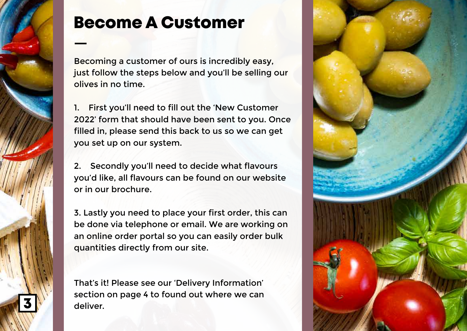

### Become A Customer

Becoming a customer of ours is incredibly easy, just follow the steps below and you'll be selling our olives in no time.

1. First you'll need to fill out the 'New Customer 2022' form that should have been sent to you. Once filled in, please send this back to us so we can get you set up on our system.

2. Secondly you'll need to decide what flavours you'd like, all flavours can be found on our website or in our brochure.

3. Lastly you need to place your first order, this can be done via telephone or email. We are working on an online order portal so you can easily order bulk quantities directly from our site.

That's it! Please see our 'Delivery Information' section on page 4 to found out where we can deliver.

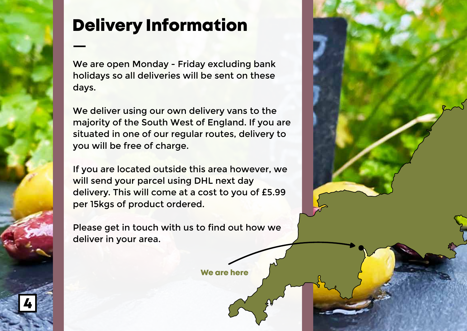## Delivery Information

We are open Monday - Friday excluding bank holidays so all deliveries will be sent on these days.

We deliver using our own delivery vans to the majority of the South West of England. If you are situated in one of our regular routes, delivery to you will be free of charge.

If you are located outside this area however, we will send your parcel using DHL next day delivery. This will come at a cost to you of £5.99 per 15kgs of product ordered.

Please get in touch with us to find out how we deliver in your area.

4

We are here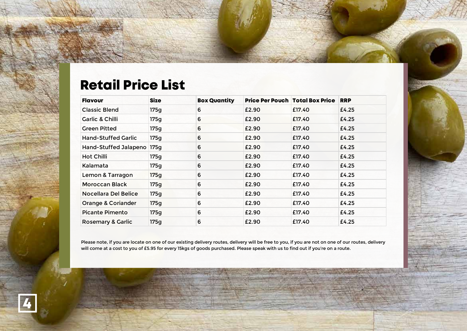#### Retail Price List

4

| <b>Flavour</b>                | <b>Size</b> | <b>Box Quantity</b> | <b>Price Per Pouch   Total Box Price</b> |        | <b>RRP</b> |
|-------------------------------|-------------|---------------------|------------------------------------------|--------|------------|
| <b>Classic Blend</b>          | 175q        | 6                   | £2.90                                    | £17.40 | £4.25      |
| <b>Garlic &amp; Chilli</b>    | 175g        | 6                   | £2.90                                    | £17.40 | £4.25      |
| <b>Green Pitted</b>           | 175g        | 6                   | £2.90                                    | £17.40 | £4.25      |
| <b>Hand-Stuffed Garlic</b>    | 175q        | 6                   | £2.90                                    | £17.40 | £4.25      |
| Hand-Stuffed Jalapeno         | 175q        | 6                   | £2.90                                    | £17.40 | £4.25      |
| Hot Chilli                    | 175g        | 6                   | £2.90                                    | £17.40 | £4.25      |
| Kalamata                      | 175g        | 6                   | £2.90                                    | £17.40 | £4.25      |
| Lemon & Tarragon              | 175g        | 6                   | £2.90                                    | £17.40 | £4.25      |
| <b>Moroccan Black</b>         | 175g        | 6                   | £2.90                                    | £17.40 | £4.25      |
| Nocellara Del Belice          | 175g        | 6                   | £2.90                                    | £17.40 | £4.25      |
| <b>Orange &amp; Coriander</b> | 175q        | 6                   | £2.90                                    | £17.40 | £4.25      |
| <b>Picante Pimento</b>        | 175g        | 6                   | £2.90                                    | £17.40 | £4.25      |
| <b>Rosemary &amp; Garlic</b>  | 175g        | 6                   | £2.90                                    | £17.40 | £4.25      |

Please note, if you are locate on one of our existing delivery routes, delivery will be free to you, if you are not on one of our routes, delivery will come at a cost to you of £5.95 for every 15kgs of goods purchased. Please speak with us to find out if you're on a route.